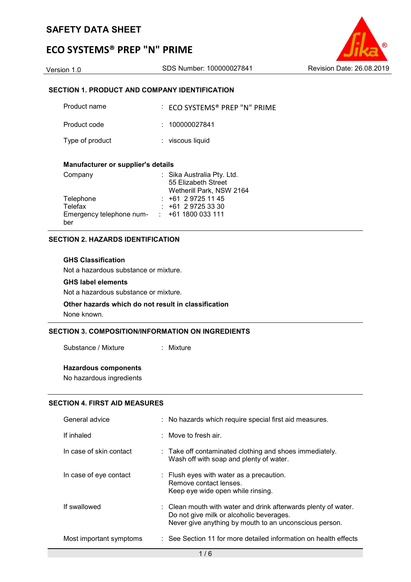# ECO SYSTEMS® PREP "N" PRIME

#### SECTION 1. PRODUCT AND COMPANY IDENTIFICATION

| Product name    | $\therefore$ ECO SYSTEMS® PREP "N" PRIME |
|-----------------|------------------------------------------|
| Product code    | : 100000027841                           |
| Type of product | : viscous liquid                         |

#### Manufacturer or supplier's details

| Company                  | : Sika Australia Pty. Ltd. |
|--------------------------|----------------------------|
|                          | 55 Elizabeth Street        |
|                          | Wetherill Park, NSW 2164   |
| Telephone                | $: +61297251145$           |
| Telefax                  | $\div$ +61 2 9725 33 30    |
| Emergency telephone num- | $\div$ +61 1800 033 111    |
| ber                      |                            |

#### SECTION 2. HAZARDS IDENTIFICATION

#### GHS Classification

Not a hazardous substance or mixture.

#### GHS label elements

Not a hazardous substance or mixture.

# Other hazards which do not result in classification

None known.

### SECTION 3. COMPOSITION/INFORMATION ON INGREDIENTS

Substance / Mixture : Mixture

#### Hazardous components

No hazardous ingredients

#### SECTION 4. FIRST AID MEASURES

| General advice          | : No hazards which require special first aid measures.                                                                                                                          |
|-------------------------|---------------------------------------------------------------------------------------------------------------------------------------------------------------------------------|
| If inhaled              | : Move to fresh air.                                                                                                                                                            |
| In case of skin contact | : Take off contaminated clothing and shoes immediately.<br>Wash off with soap and plenty of water.                                                                              |
| In case of eye contact  | : Flush eyes with water as a precaution.<br>Remove contact lenses.<br>Keep eye wide open while rinsing.                                                                         |
| If swallowed            | $\therefore$ Clean mouth with water and drink afterwards plenty of water.<br>Do not give milk or alcoholic beverages.<br>Never give anything by mouth to an unconscious person. |
| Most important symptoms | : See Section 11 for more detailed information on health effects                                                                                                                |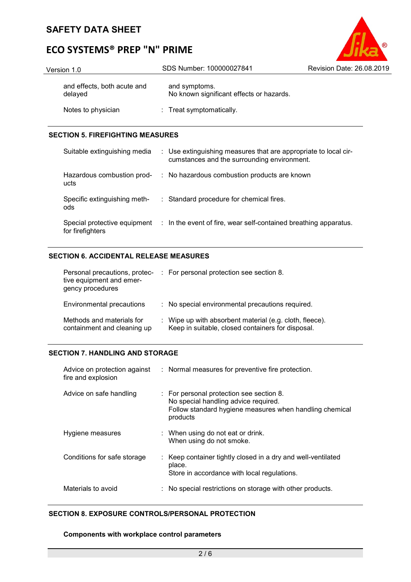# ECO SYSTEMS® PREP "N" PRIME

| Version 1.0                            | SDS Number: 100000027841                                  | Revision Date: 26.08.2019 |
|----------------------------------------|-----------------------------------------------------------|---------------------------|
| and effects, both acute and<br>delayed | and symptoms.<br>No known significant effects or hazards. |                           |
| Notes to physician                     | : Treat symptomatically.                                  |                           |

 $^{\circledR}$ 

#### SECTION 5. FIREFIGHTING MEASURES

| Suitable extinguishing media                     | : Use extinguishing measures that are appropriate to local cir-<br>cumstances and the surrounding environment. |
|--------------------------------------------------|----------------------------------------------------------------------------------------------------------------|
| Hazardous combustion prod-<br>ucts               | : No hazardous combustion products are known                                                                   |
| Specific extinguishing meth-<br>ods              | : Standard procedure for chemical fires.                                                                       |
| Special protective equipment<br>for firefighters | : In the event of fire, wear self-contained breathing apparatus.                                               |

#### SECTION 6. ACCIDENTAL RELEASE MEASURES

| Personal precautions, protec-<br>tive equipment and emer-<br>gency procedures | : For personal protection see section 8.                                                                     |
|-------------------------------------------------------------------------------|--------------------------------------------------------------------------------------------------------------|
| Environmental precautions                                                     | : No special environmental precautions required.                                                             |
| Methods and materials for<br>containment and cleaning up                      | : Wipe up with absorbent material (e.g. cloth, fleece).<br>Keep in suitable, closed containers for disposal. |

### SECTION 7. HANDLING AND STORAGE

| Advice on protection against<br>fire and explosion | : Normal measures for preventive fire protection.                                                                                                       |
|----------------------------------------------------|---------------------------------------------------------------------------------------------------------------------------------------------------------|
| Advice on safe handling                            | : For personal protection see section 8.<br>No special handling advice required.<br>Follow standard hygiene measures when handling chemical<br>products |
| Hygiene measures                                   | : When using do not eat or drink.<br>When using do not smoke.                                                                                           |
| Conditions for safe storage                        | : Keep container tightly closed in a dry and well-ventilated<br>place.<br>Store in accordance with local regulations.                                   |
| Materials to avoid                                 | : No special restrictions on storage with other products.                                                                                               |

#### SECTION 8. EXPOSURE CONTROLS/PERSONAL PROTECTION

#### Components with workplace control parameters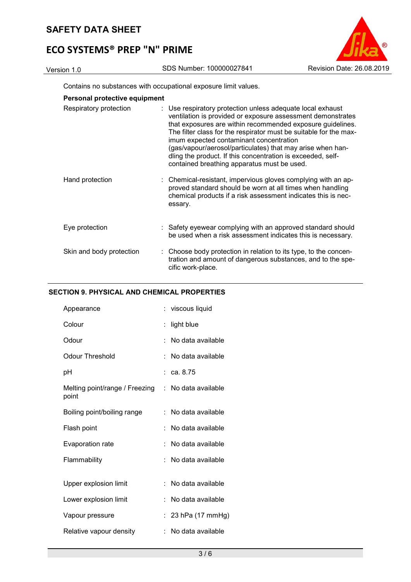# ECO SYSTEMS® PREP "N" PRIME



Contains no substances with occupational exposure limit values.

|  |  | Personal protective equipment |
|--|--|-------------------------------|
|--|--|-------------------------------|

| Respiratory protection   | : Use respiratory protection unless adequate local exhaust<br>ventilation is provided or exposure assessment demonstrates<br>that exposures are within recommended exposure guidelines.<br>The filter class for the respirator must be suitable for the max-<br>imum expected contaminant concentration<br>(gas/vapour/aerosol/particulates) that may arise when han-<br>dling the product. If this concentration is exceeded, self-<br>contained breathing apparatus must be used. |
|--------------------------|-------------------------------------------------------------------------------------------------------------------------------------------------------------------------------------------------------------------------------------------------------------------------------------------------------------------------------------------------------------------------------------------------------------------------------------------------------------------------------------|
| Hand protection          | : Chemical-resistant, impervious gloves complying with an ap-<br>proved standard should be worn at all times when handling<br>chemical products if a risk assessment indicates this is nec-<br>essary.                                                                                                                                                                                                                                                                              |
| Eye protection           | : Safety eyewear complying with an approved standard should<br>be used when a risk assessment indicates this is necessary.                                                                                                                                                                                                                                                                                                                                                          |
| Skin and body protection | : Choose body protection in relation to its type, to the concen-<br>tration and amount of dangerous substances, and to the spe-<br>cific work-place.                                                                                                                                                                                                                                                                                                                                |

### SECTION 9. PHYSICAL AND CHEMICAL PROPERTIES

| Appearance                              |    | : viscous liquid      |
|-----------------------------------------|----|-----------------------|
| Colour                                  |    | light blue            |
| Odour                                   |    | No data available     |
| Odour Threshold                         |    | No data available     |
| рH                                      | t. | ca. 8.75              |
| Melting point/range / Freezing<br>point |    | $:$ No data available |
| Boiling point/boiling range             | ÷. | No data available     |
| Flash point                             |    | No data available     |
| Evaporation rate                        |    | No data available     |
| Flammability                            |    | No data available     |
|                                         |    |                       |
| Upper explosion limit                   | ۰. | No data available     |
| Lower explosion limit                   | ÷  | No data available     |
| Vapour pressure                         |    | 23 hPa (17 mmHg)      |
| Relative vapour density                 |    | No data available     |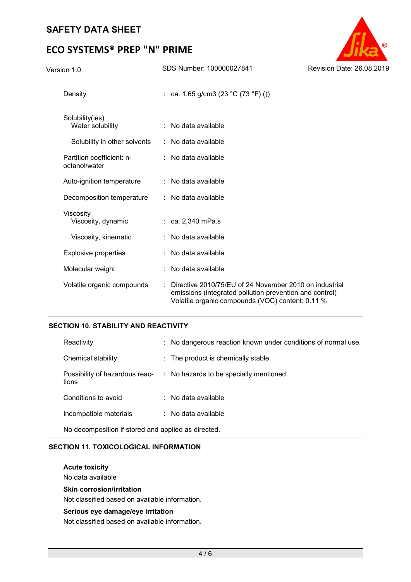# ECO SYSTEMS® PREP "N" PRIME



### SECTION 10. STABILITY AND REACTIVITY

| Reactivity                              | : No dangerous reaction known under conditions of normal use. |
|-----------------------------------------|---------------------------------------------------------------|
| Chemical stability                      | $\therefore$ The product is chemically stable.                |
| Possibility of hazardous reac-<br>tions | : No hazards to be specially mentioned.                       |
| Conditions to avoid                     | $\therefore$ No data available                                |
| Incompatible materials                  | $\therefore$ No data available                                |
|                                         |                                                               |

No decomposition if stored and applied as directed.

### SECTION 11. TOXICOLOGICAL INFORMATION

Acute toxicity

No data available

#### Skin corrosion/irritation

Not classified based on available information.

#### Serious eye damage/eye irritation

Not classified based on available information.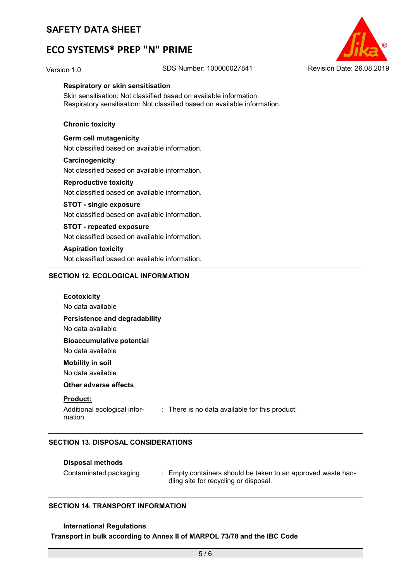# ECO SYSTEMS® PREP "N" PRIME

### Version 1.0 SDS Number: 100000027841 Revision Date: 26.08.2019



#### Respiratory or skin sensitisation

Skin sensitisation: Not classified based on available information. Respiratory sensitisation: Not classified based on available information.

#### Chronic toxicity

Germ cell mutagenicity Not classified based on available information.

#### **Carcinogenicity**

Not classified based on available information.

#### Reproductive toxicity

Not classified based on available information.

#### STOT - single exposure

Not classified based on available information.

#### STOT - repeated exposure

Not classified based on available information.

#### Aspiration toxicity

Not classified based on available information.

#### SECTION 12. ECOLOGICAL INFORMATION

| <b>Ecotoxicity</b><br>No data available                   |                                                           |
|-----------------------------------------------------------|-----------------------------------------------------------|
| Persistence and degradability<br>No data available        |                                                           |
| <b>Bioaccumulative potential</b><br>No data available     |                                                           |
| <b>Mobility in soil</b><br>No data available              |                                                           |
| Other adverse effects                                     |                                                           |
| <b>Product:</b><br>Additional ecological infor-<br>mation | $\therefore$ There is no data available for this product. |

#### SECTION 13. DISPOSAL CONSIDERATIONS

#### Disposal methods

Contaminated packaging : Empty containers should be taken to an approved waste handling site for recycling or disposal.

#### SECTION 14. TRANSPORT INFORMATION

#### International Regulations

#### Transport in bulk according to Annex II of MARPOL 73/78 and the IBC Code